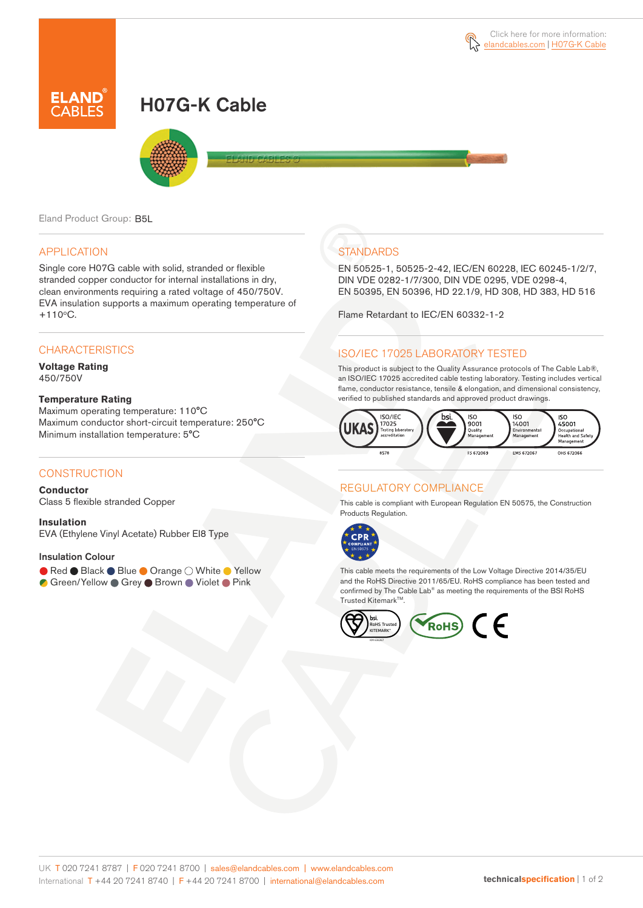# H07G-K Cable



Eland Product Group: B5L

# APPLICATION

Single core H07G cable with solid, stranded or flexible stranded copper conductor for internal installations in dry, clean environments requiring a rated voltage of 450/750V. EVA insulation supports a maximum operating temperature of  $+110^{\circ}$ C.

# **CHARACTERISTICS**

**Voltage Rating** 450/750V

#### **Temperature Rating**

Maximum operating temperature: 110°C Maximum conductor short-circuit temperature: 250°C Minimum installation temperature: 5°C

# **CONSTRUCTION**

**Conductor**

Class 5 flexible stranded Copper

**Insulation** EVA (Ethylene Vinyl Acetate) Rubber EI8 Type

### Insulation Colour

- Red Black Blue Orange White Yellow
- C Green/Yellow Grey Brown Violet Pink

# **STANDARDS**

EN 50525-1, 50525-2-42, IEC/EN 60228, IEC 60245-1/2/7, DIN VDE 0282-1/7/300, DIN VDE 0295, VDE 0298-4, EN 50395, EN 50396, HD 22.1/9, HD 308, HD 383, HD 516

Flame Retardant to IEC/EN 60332-1-2

# ISO/IEC 17025 LABORATORY TESTED

This product is subject to the Quality Assurance protocols of The Cable Lab®, an ISO/IEC 17025 accredited cable testing laboratory. Testing includes vertical flame, conductor resistance, tensile & elongation, and dimensional consistency, verified to published standards and approved product drawings.



# REGULATORY COMPLIANCE

This cable is compliant with European Regulation EN 50575, the Construction Products Regulation.



This cable meets the requirements of the Low Voltage Directive 2014/35/EU and the RoHS Directive 2011/65/EU. RoHS compliance has been tested and confirmed by The Cable Lab® as meeting the requirements of the BSI RoHS Trusted KitemarkTM.